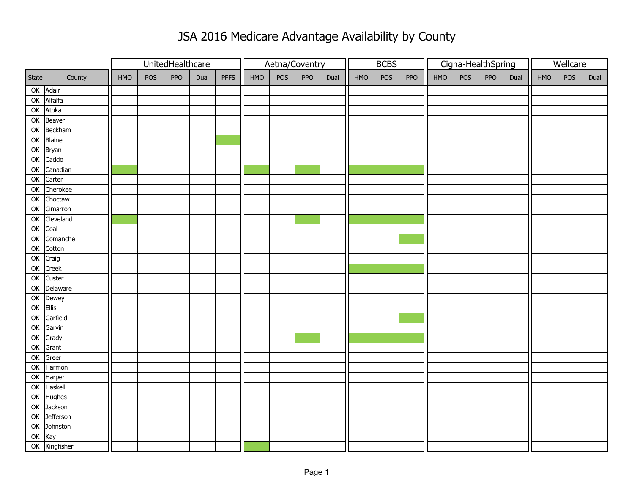## JSA 2016 Medicare Advantage Availability by County

|        |                     |            |     | UnitedHealthcare |      |             | Aetna/Coventry |     |     |      |     | <b>BCBS</b> |     |     |     | Cigna-HealthSpring | Wellcare |     |     |      |
|--------|---------------------|------------|-----|------------------|------|-------------|----------------|-----|-----|------|-----|-------------|-----|-----|-----|--------------------|----------|-----|-----|------|
| State  | County              | <b>HMO</b> | POS | <b>PPO</b>       | Dual | <b>PFFS</b> | HMO            | POS | PPO | Dual | HMO | POS         | PPO | HMO | POS | PPO                | Dual     | HMO | POS | Dual |
|        | OK Adair            |            |     |                  |      |             |                |     |     |      |     |             |     |     |     |                    |          |     |     |      |
| OK     | Alfalfa             |            |     |                  |      |             |                |     |     |      |     |             |     |     |     |                    |          |     |     |      |
| OK     | Atoka               |            |     |                  |      |             |                |     |     |      |     |             |     |     |     |                    |          |     |     |      |
|        | OK Beaver           |            |     |                  |      |             |                |     |     |      |     |             |     |     |     |                    |          |     |     |      |
|        | OK Beckham          |            |     |                  |      |             |                |     |     |      |     |             |     |     |     |                    |          |     |     |      |
| OK     | Blaine              |            |     |                  |      |             |                |     |     |      |     |             |     |     |     |                    |          |     |     |      |
| OK     | Bryan               |            |     |                  |      |             |                |     |     |      |     |             |     |     |     |                    |          |     |     |      |
| OK     | Caddo               |            |     |                  |      |             |                |     |     |      |     |             |     |     |     |                    |          |     |     |      |
| OK     | Canadian            |            |     |                  |      |             |                |     |     |      |     |             |     |     |     |                    |          |     |     |      |
| OK     | Carter              |            |     |                  |      |             |                |     |     |      |     |             |     |     |     |                    |          |     |     |      |
| OK     | Cherokee            |            |     |                  |      |             |                |     |     |      |     |             |     |     |     |                    |          |     |     |      |
| OK     | Choctaw             |            |     |                  |      |             |                |     |     |      |     |             |     |     |     |                    |          |     |     |      |
| OK     | Cimarron            |            |     |                  |      |             |                |     |     |      |     |             |     |     |     |                    |          |     |     |      |
| OK     | Cleveland           |            |     |                  |      |             |                |     |     |      |     |             |     |     |     |                    |          |     |     |      |
| OK     | Coal                |            |     |                  |      |             |                |     |     |      |     |             |     |     |     |                    |          |     |     |      |
| OK     | Comanche            |            |     |                  |      |             |                |     |     |      |     |             |     |     |     |                    |          |     |     |      |
| OK     | Cotton              |            |     |                  |      |             |                |     |     |      |     |             |     |     |     |                    |          |     |     |      |
| OK     | $\overline{C}$ raig |            |     |                  |      |             |                |     |     |      |     |             |     |     |     |                    |          |     |     |      |
| OK     | Creek               |            |     |                  |      |             |                |     |     |      |     |             |     |     |     |                    |          |     |     |      |
|        | OK Custer           |            |     |                  |      |             |                |     |     |      |     |             |     |     |     |                    |          |     |     |      |
| OK     | Delaware            |            |     |                  |      |             |                |     |     |      |     |             |     |     |     |                    |          |     |     |      |
|        | OK Dewey            |            |     |                  |      |             |                |     |     |      |     |             |     |     |     |                    |          |     |     |      |
| OK     | Ellis               |            |     |                  |      |             |                |     |     |      |     |             |     |     |     |                    |          |     |     |      |
| OK     | Garfield            |            |     |                  |      |             |                |     |     |      |     |             |     |     |     |                    |          |     |     |      |
| OK     | Garvin              |            |     |                  |      |             |                |     |     |      |     |             |     |     |     |                    |          |     |     |      |
| OK     | Grady               |            |     |                  |      |             |                |     |     |      |     |             |     |     |     |                    |          |     |     |      |
| OK     | Grant               |            |     |                  |      |             |                |     |     |      |     |             |     |     |     |                    |          |     |     |      |
| OK     | Greer               |            |     |                  |      |             |                |     |     |      |     |             |     |     |     |                    |          |     |     |      |
| OK     | Harmon              |            |     |                  |      |             |                |     |     |      |     |             |     |     |     |                    |          |     |     |      |
| OK     | Harper              |            |     |                  |      |             |                |     |     |      |     |             |     |     |     |                    |          |     |     |      |
| OK     | Haskell             |            |     |                  |      |             |                |     |     |      |     |             |     |     |     |                    |          |     |     |      |
| OK     | Hughes              |            |     |                  |      |             |                |     |     |      |     |             |     |     |     |                    |          |     |     |      |
| OK     | Jackson             |            |     |                  |      |             |                |     |     |      |     |             |     |     |     |                    |          |     |     |      |
| OK     | <b>Jefferson</b>    |            |     |                  |      |             |                |     |     |      |     |             |     |     |     |                    |          |     |     |      |
|        | OK Johnston         |            |     |                  |      |             |                |     |     |      |     |             |     |     |     |                    |          |     |     |      |
| OK Kay |                     |            |     |                  |      |             |                |     |     |      |     |             |     |     |     |                    |          |     |     |      |
|        | OK Kingfisher       |            |     |                  |      |             |                |     |     |      |     |             |     |     |     |                    |          |     |     |      |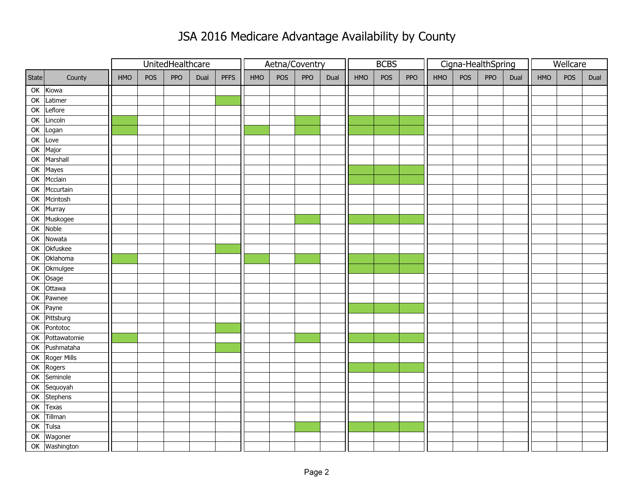## JSA 2016 Medicare Advantage Availability by County

|       |                |     |                                          | UnitedHealthcare |  |     | Aetna/Coventry |     |      |     |            | <b>BCBS</b> |     |     |     | Cigna-HealthSpring | Wellcare |     |      |  |
|-------|----------------|-----|------------------------------------------|------------------|--|-----|----------------|-----|------|-----|------------|-------------|-----|-----|-----|--------------------|----------|-----|------|--|
| State | County         | HMO | POS<br><b>PPO</b><br><b>PFFS</b><br>Dual |                  |  | HMO | POS            | PPO | Dual | HMO | <b>POS</b> | PPO         | HMO | POS | PPO | Dual               | HMO      | POS | Dual |  |
|       | OK Kiowa       |     |                                          |                  |  |     |                |     |      |     |            |             |     |     |     |                    |          |     |      |  |
| OK    | Latimer        |     |                                          |                  |  |     |                |     |      |     |            |             |     |     |     |                    |          |     |      |  |
| OK    | Leflore        |     |                                          |                  |  |     |                |     |      |     |            |             |     |     |     |                    |          |     |      |  |
| OK    | Lincoln        |     |                                          |                  |  |     |                |     |      |     |            |             |     |     |     |                    |          |     |      |  |
| OK    | Logan          |     |                                          |                  |  |     |                |     |      |     |            |             |     |     |     |                    |          |     |      |  |
| OK    | Love           |     |                                          |                  |  |     |                |     |      |     |            |             |     |     |     |                    |          |     |      |  |
| OK    | Major          |     |                                          |                  |  |     |                |     |      |     |            |             |     |     |     |                    |          |     |      |  |
| OK    | Marshall       |     |                                          |                  |  |     |                |     |      |     |            |             |     |     |     |                    |          |     |      |  |
| OK    | Mayes          |     |                                          |                  |  |     |                |     |      |     |            |             |     |     |     |                    |          |     |      |  |
| OK    | Mcclain        |     |                                          |                  |  |     |                |     |      |     |            |             |     |     |     |                    |          |     |      |  |
| OK    | Mccurtain      |     |                                          |                  |  |     |                |     |      |     |            |             |     |     |     |                    |          |     |      |  |
| OK    | Mcintosh       |     |                                          |                  |  |     |                |     |      |     |            |             |     |     |     |                    |          |     |      |  |
| OK    | Murray         |     |                                          |                  |  |     |                |     |      |     |            |             |     |     |     |                    |          |     |      |  |
| OK    | Muskogee       |     |                                          |                  |  |     |                |     |      |     |            |             |     |     |     |                    |          |     |      |  |
| OK    | Noble          |     |                                          |                  |  |     |                |     |      |     |            |             |     |     |     |                    |          |     |      |  |
| OK    | Nowata         |     |                                          |                  |  |     |                |     |      |     |            |             |     |     |     |                    |          |     |      |  |
| OK    | Okfuskee       |     |                                          |                  |  |     |                |     |      |     |            |             |     |     |     |                    |          |     |      |  |
| OK    | Oklahoma       |     |                                          |                  |  |     |                |     |      |     |            |             |     |     |     |                    |          |     |      |  |
| OK    | Okmulgee       |     |                                          |                  |  |     |                |     |      |     |            |             |     |     |     |                    |          |     |      |  |
|       | OK Osage       |     |                                          |                  |  |     |                |     |      |     |            |             |     |     |     |                    |          |     |      |  |
| OK    | Ottawa         |     |                                          |                  |  |     |                |     |      |     |            |             |     |     |     |                    |          |     |      |  |
| OK    | Pawnee         |     |                                          |                  |  |     |                |     |      |     |            |             |     |     |     |                    |          |     |      |  |
| OK    | Payne          |     |                                          |                  |  |     |                |     |      |     |            |             |     |     |     |                    |          |     |      |  |
|       | OK Pittsburg   |     |                                          |                  |  |     |                |     |      |     |            |             |     |     |     |                    |          |     |      |  |
| OK    | Pontotoc       |     |                                          |                  |  |     |                |     |      |     |            |             |     |     |     |                    |          |     |      |  |
| OK    | Pottawatomie   |     |                                          |                  |  |     |                |     |      |     |            |             |     |     |     |                    |          |     |      |  |
|       | OK Pushmataha  |     |                                          |                  |  |     |                |     |      |     |            |             |     |     |     |                    |          |     |      |  |
|       | OK Roger Mills |     |                                          |                  |  |     |                |     |      |     |            |             |     |     |     |                    |          |     |      |  |
|       | OK Rogers      |     |                                          |                  |  |     |                |     |      |     |            |             |     |     |     |                    |          |     |      |  |
| OK    | Seminole       |     |                                          |                  |  |     |                |     |      |     |            |             |     |     |     |                    |          |     |      |  |
| OK    | Sequoyah       |     |                                          |                  |  |     |                |     |      |     |            |             |     |     |     |                    |          |     |      |  |
| OK    | Stephens       |     |                                          |                  |  |     |                |     |      |     |            |             |     |     |     |                    |          |     |      |  |
| OK    | Texas          |     |                                          |                  |  |     |                |     |      |     |            |             |     |     |     |                    |          |     |      |  |
| OK    | Tillman        |     |                                          |                  |  |     |                |     |      |     |            |             |     |     |     |                    |          |     |      |  |
| OK    | Tulsa          |     |                                          |                  |  |     |                |     |      |     |            |             |     |     |     |                    |          |     |      |  |
|       | OK Wagoner     |     |                                          |                  |  |     |                |     |      |     |            |             |     |     |     |                    |          |     |      |  |
|       | OK Washington  |     |                                          |                  |  |     |                |     |      |     |            |             |     |     |     |                    |          |     |      |  |